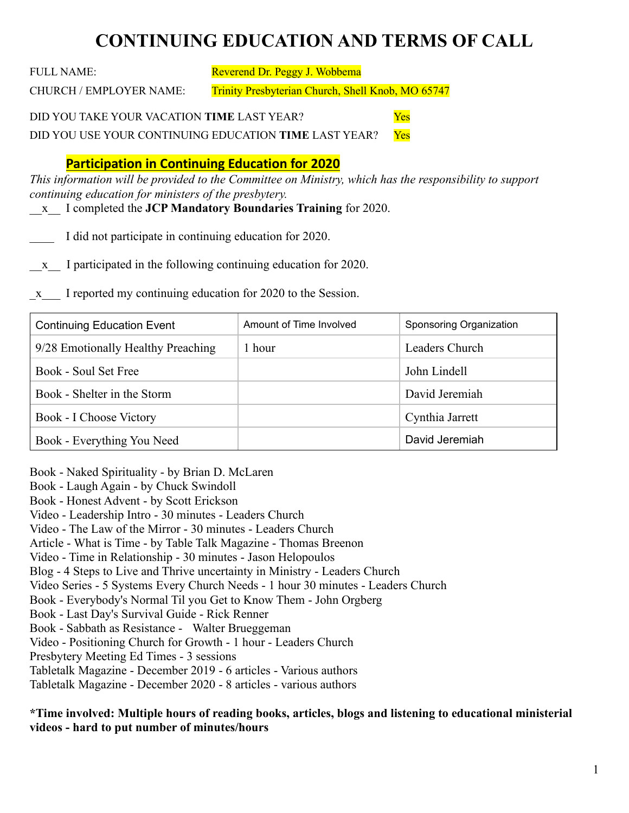# **CONTINUING EDUCATION AND TERMS OF CALL**

FULL NAME: Reverend Dr. Peggy J. Wobbema

CHURCH / EMPLOYER NAME: Trinity Presbyterian Church, Shell Knob, MO 65747

DID YOU TAKE YOUR VACATION **TIME** LAST YEAR? Yes

DID YOU USE YOUR CONTINUING EDUCATION **TIME** LAST YEAR? Yes

### **Participation in Continuing Education for 2020**

*This information will be provided to the Committee on Ministry, which has the responsibility to support continuing education for ministers of the presbytery.* 

\_\_x\_\_ I completed the **JCP Mandatory Boundaries Training** for 2020.

I did not participate in continuing education for 2020.

\_\_x\_\_ I participated in the following continuing education for 2020.

\_x\_\_\_ I reported my continuing education for 2020 to the Session.

| <b>Continuing Education Event</b>  | Amount of Time Involved | Sponsoring Organization |
|------------------------------------|-------------------------|-------------------------|
| 9/28 Emotionally Healthy Preaching | hour                    | Leaders Church          |
| Book - Soul Set Free               |                         | John Lindell            |
| Book - Shelter in the Storm        |                         | David Jeremiah          |
| Book - I Choose Victory            |                         | Cynthia Jarrett         |
| Book - Everything You Need         |                         | David Jeremiah          |

Book - Naked Spirituality - by Brian D. McLaren Book - Laugh Again - by Chuck Swindoll Book - Honest Advent - by Scott Erickson Video - Leadership Intro - 30 minutes - Leaders Church Video - The Law of the Mirror - 30 minutes - Leaders Church Article - What is Time - by Table Talk Magazine - Thomas Breenon Video - Time in Relationship - 30 minutes - Jason Helopoulos Blog - 4 Steps to Live and Thrive uncertainty in Ministry - Leaders Church Video Series - 5 Systems Every Church Needs - 1 hour 30 minutes - Leaders Church Book - Everybody's Normal Til you Get to Know Them - John Orgberg Book - Last Day's Survival Guide - Rick Renner Book - Sabbath as Resistance - Walter Brueggeman Video - Positioning Church for Growth - 1 hour - Leaders Church Presbytery Meeting Ed Times - 3 sessions Tabletalk Magazine - December 2019 - 6 articles - Various authors Tabletalk Magazine - December 2020 - 8 articles - various authors

**\*Time involved: Multiple hours of reading books, articles, blogs and listening to educational ministerial videos - hard to put number of minutes/hours**